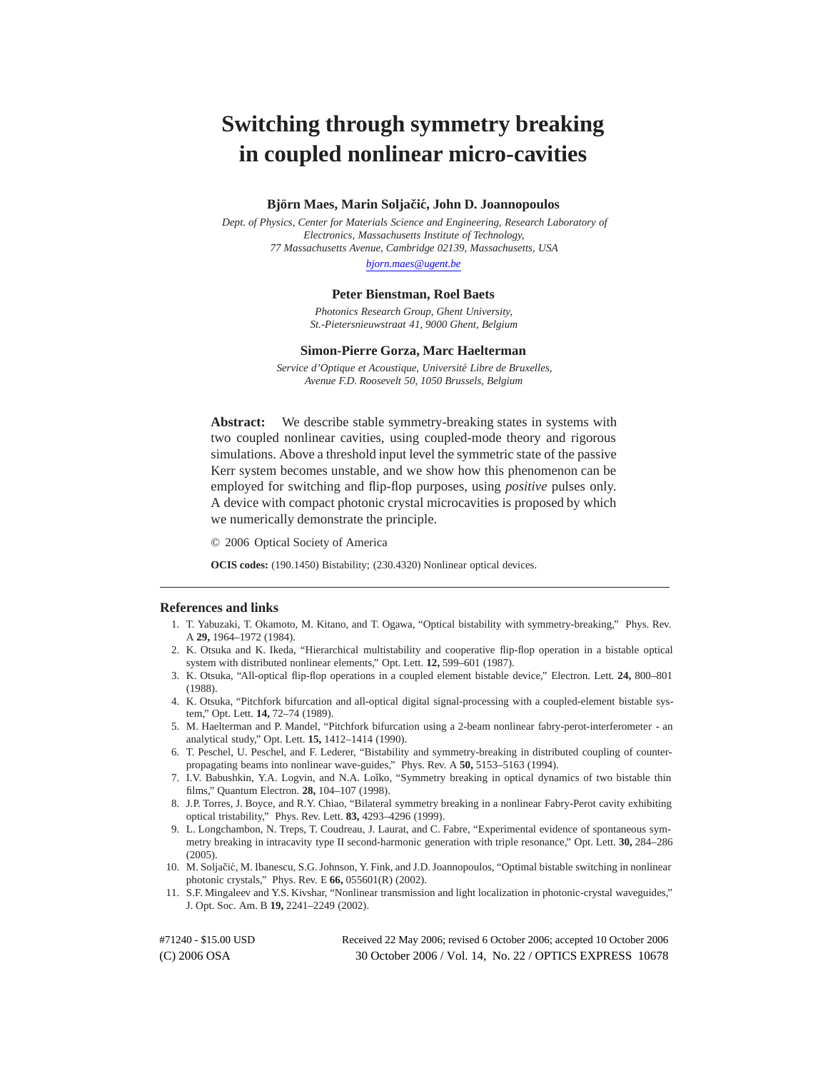# **Switching through symmetry breaking in coupled nonlinear micro-cavities**

#### **Bjorn Maes, Marin Solja ¨ ciˇ c, John D. Joannopoulos ´**

*Dept. of Physics, Center for Materials Science and Engineering, Research Laboratory of Electronics, Massachusetts Institute of Technology, 77 Massachusetts Avenue, Cambridge 02139, Massachusetts, USA*

*[bjorn.maes@ugent.be](mailto:bjorn.maes@ugent.be)*

#### **Peter Bienstman, Roel Baets**

*Photonics Research Group, Ghent University, St.-Pietersnieuwstraat 41, 9000 Ghent, Belgium*

#### **Simon-Pierre Gorza, Marc Haelterman**

Service d'Optique et Acoustique, Université Libre de Bruxelles, *Avenue F.D. Roosevelt 50, 1050 Brussels, Belgium*

**Abstract:** We describe stable symmetry-breaking states in systems with two coupled nonlinear cavities, using coupled-mode theory and rigorous simulations. Above a threshold input level the symmetric state of the passive Kerr system becomes unstable, and we show how this phenomenon can be employed for switching and flip-flop purposes, using *positive* pulses only. A device with compact photonic crystal microcavities is proposed by which we numerically demonstrate the principle.

© 2006 Optical Society of America

**OCIS codes:** (190.1450) Bistability; (230.4320) Nonlinear optical devices.

## **References and links**

- 1. T. Yabuzaki, T. Okamoto, M. Kitano, and T. Ogawa, "Optical bistability with symmetry-breaking," Phys. Rev. A **29,** 1964–1972 (1984).
- 2. K. Otsuka and K. Ikeda, "Hierarchical multistability and cooperative flip-flop operation in a bistable optical system with distributed nonlinear elements," Opt. Lett. **12,** 599–601 (1987).
- 3. K. Otsuka, "All-optical flip-flop operations in a coupled element bistable device," Electron. Lett. **24,** 800–801 (1988).
- 4. K. Otsuka, "Pitchfork bifurcation and all-optical digital signal-processing with a coupled-element bistable system," Opt. Lett. **14,** 72–74 (1989).
- 5. M. Haelterman and P. Mandel, "Pitchfork bifurcation using a 2-beam nonlinear fabry-perot-interferometer an analytical study," Opt. Lett. **15,** 1412–1414 (1990).
- 6. T. Peschel, U. Peschel, and F. Lederer, "Bistability and symmetry-breaking in distributed coupling of counterpropagating beams into nonlinear wave-guides," Phys. Rev. A **50,** 5153–5163 (1994).
- 7. I.V. Babushkin, Y.A. Logvin, and N.A. Loǐko, "Symmetry breaking in optical dynamics of two bistable thin films," Quantum Electron. **28,** 104–107 (1998).
- 8. J.P. Torres, J. Boyce, and R.Y. Chiao, "Bilateral symmetry breaking in a nonlinear Fabry-Perot cavity exhibiting optical tristability," Phys. Rev. Lett. **83,** 4293–4296 (1999).
- 9. L. Longchambon, N. Treps, T. Coudreau, J. Laurat, and C. Fabre, "Experimental evidence of spontaneous symmetry breaking in intracavity type II second-harmonic generation with triple resonance," Opt. Lett. **30,** 284–286  $(2005)$ .
- 10. M. Soljačić, M. Ibanescu, S.G. Johnson, Y. Fink, and J.D. Joannopoulos, "Optimal bistable switching in nonlinear photonic crystals," Phys. Rev. E **66,** 055601(R) (2002).
- 11. S.F. Mingaleev and Y.S. Kivshar, "Nonlinear transmission and light localization in photonic-crystal waveguides," J. Opt. Soc. Am. B **19,** 2241–2249 (2002).

#71240 - \$15.00 USD Received 22 May 2006; revised 6 October 2006; accepted 10 October 2006 (C) 2006 OSA 30 October 2006 / Vol. 14, No. 22 / OPTICS EXPRESS 10678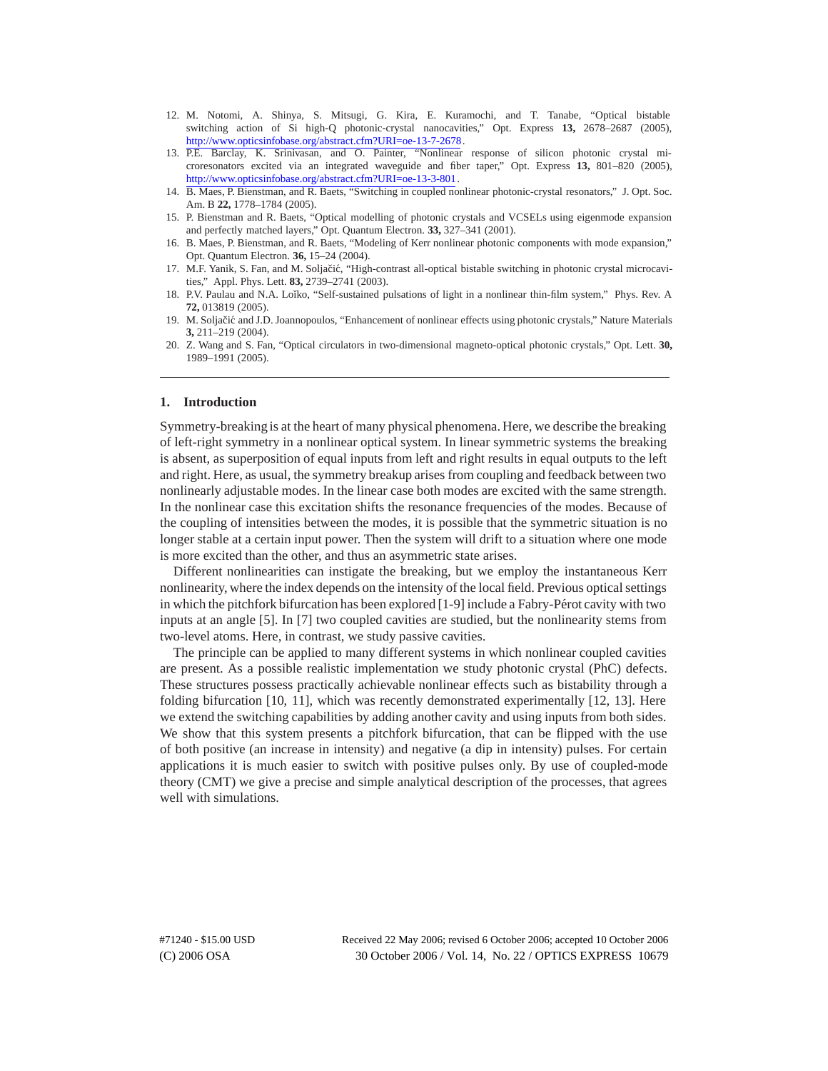- 12. M. Notomi, A. Shinya, S. Mitsugi, G. Kira, E. Kuramochi, and T. Tanabe, "Optical bistable switching action of Si high-Q photonic-crystal nanocavities," Opt. Express **13,** 2678–2687 (2005), [http://www.opticsinfobase.org/abstract.cfm?URI=oe-13-7-2678.](http://www.opticsinfobase.org/abstract.cfm?URI=oe-13-7-2678)
- 13. P.E. Barclay, K. Srinivasan, and O. Painter, "Nonlinear response of silicon photonic crystal microresonators excited via an integrated waveguide and fiber taper," Opt. Express **13,** 801–820 (2005), [http://www.opticsinfobase.org/abstract.cfm?URI=oe-13-3-801.](http://www.opticsinfobase.org/abstract.cfm?URI=oe-13-3-801)
- 14. B. Maes, P. Bienstman, and R. Baets, "Switching in coupled nonlinear photonic-crystal resonators," J. Opt. Soc. Am. B **22,** 1778–1784 (2005).
- 15. P. Bienstman and R. Baets, "Optical modelling of photonic crystals and VCSELs using eigenmode expansion and perfectly matched layers," Opt. Quantum Electron. **33,** 327–341 (2001).
- 16. B. Maes, P. Bienstman, and R. Baets, "Modeling of Kerr nonlinear photonic components with mode expansion," Opt. Quantum Electron. **36,** 15–24 (2004).
- 17. M.F. Yanik, S. Fan, and M. Soljačić, "High-contrast all-optical bistable switching in photonic crystal microcavities," Appl. Phys. Lett. **83,** 2739–2741 (2003).
- 18. P.V. Paulau and N.A. Loǐko, "Self-sustained pulsations of light in a nonlinear thin-film system," Phys. Rev. A **72,** 013819 (2005).
- 19. M. Soljačić and J.D. Joannopoulos, "Enhancement of nonlinear effects using photonic crystals," Nature Materials **3,** 211–219 (2004).
- 20. Z. Wang and S. Fan, "Optical circulators in two-dimensional magneto-optical photonic crystals," Opt. Lett. **30,** 1989–1991 (2005).

# **1. Introduction**

Symmetry-breaking is at the heart of many physical phenomena. Here, we describe the breaking of left-right symmetry in a nonlinear optical system. In linear symmetric systems the breaking is absent, as superposition of equal inputs from left and right results in equal outputs to the left and right. Here, as usual, the symmetry breakup arises from coupling and feedback between two nonlinearly adjustable modes. In the linear case both modes are excited with the same strength. In the nonlinear case this excitation shifts the resonance frequencies of the modes. Because of the coupling of intensities between the modes, it is possible that the symmetric situation is no longer stable at a certain input power. Then the system will drift to a situation where one mode is more excited than the other, and thus an asymmetric state arises.

Different nonlinearities can instigate the breaking, but we employ the instantaneous Kerr nonlinearity, where the index depends on the intensity of the local field. Previous optical settings in which the pitchfork bifurcation has been explored  $[1-9]$  include a Fabry-Pérot cavity with two inputs at an angle [5]. In [7] two coupled cavities are studied, but the nonlinearity stems from two-level atoms. Here, in contrast, we study passive cavities.

The principle can be applied to many different systems in which nonlinear coupled cavities are present. As a possible realistic implementation we study photonic crystal (PhC) defects. These structures possess practically achievable nonlinear effects such as bistability through a folding bifurcation [10, 11], which was recently demonstrated experimentally [12, 13]. Here we extend the switching capabilities by adding another cavity and using inputs from both sides. We show that this system presents a pitchfork bifurcation, that can be flipped with the use of both positive (an increase in intensity) and negative (a dip in intensity) pulses. For certain applications it is much easier to switch with positive pulses only. By use of coupled-mode theory (CMT) we give a precise and simple analytical description of the processes, that agrees well with simulations.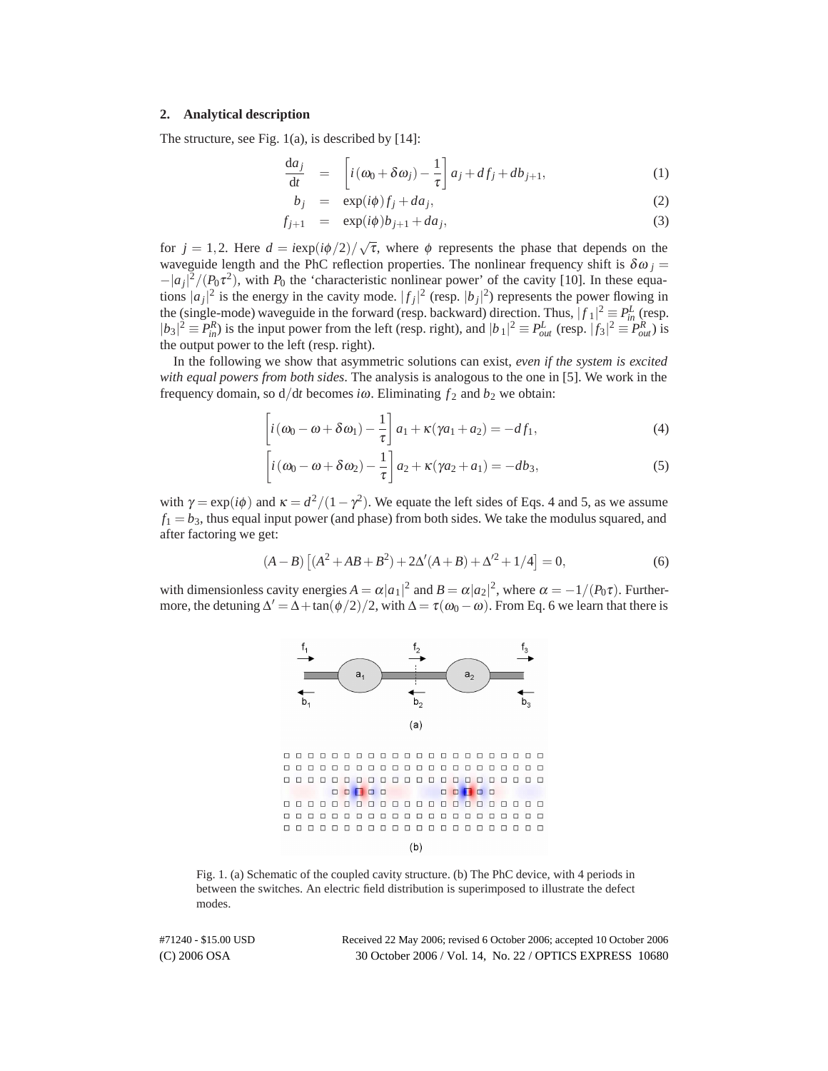## **2. Analytical description**

The structure, see Fig.  $1(a)$ , is described by  $[14]$ :

$$
\frac{da_j}{dt} = \left[ i(\omega_0 + \delta \omega_j) - \frac{1}{\tau} \right] a_j + df_j + db_{j+1}, \tag{1}
$$

$$
b_j = \exp(i\phi)f_j + da_j,\tag{2}
$$

$$
f_{j+1} = \exp(i\phi)b_{j+1} + da_j,\tag{3}
$$

for  $j = 1, 2$ . Here  $d = i \exp(i \phi/2) / \sqrt{\tau}$ , where  $\phi$  represents the phase that depends on the waveguide length and the PhC reflection properties. The nonlinear frequency shift is  $\delta\omega_i =$  $-|a_j|^2/(P_0\tau^2)$ , with  $P_0$  the 'characteristic nonlinear power' of the cavity [10]. In these equations  $|a_j|^2$  is the energy in the cavity mode.  $|f_j|^2$  (resp.  $|b_j|^2$ ) represents the power flowing in the (single-mode) waveguide in the forward (resp. backward) direction. Thus,  $|f_1|^2 = P_{in}^L$  (resp.  $|b_3|^2 \equiv P_{in}^R$ ) is the input power from the left (resp. right), and  $|b_1|^2 \equiv P_{out}^L$  (resp.  $|f_3|^2 \equiv P_{out}^R$ ) is the output power to the left (resp. right).

In the following we show that asymmetric solutions can exist, *even if the system is excited with equal powers from both sides*. The analysis is analogous to the one in [5]. We work in the frequency domain, so  $d/dt$  becomes *i*ω. Eliminating  $f_2$  and  $b_2$  we obtain:

$$
\left[i(\omega_0 - \omega + \delta \omega_1) - \frac{1}{\tau}\right]a_1 + \kappa(\gamma a_1 + a_2) = -df_1,
$$
\n(4)

$$
\left[i(\omega_0 - \omega + \delta \omega_2) - \frac{1}{\tau}\right]a_2 + \kappa(\gamma a_2 + a_1) = -db_3,
$$
\n(5)

with  $\gamma = \exp(i\phi)$  and  $\kappa = d^2/(1-\gamma^2)$ . We equate the left sides of Eqs. 4 and 5, as we assume  $f_1 = b_3$ , thus equal input power (and phase) from both sides. We take the modulus squared, and after factoring we get:

$$
(A - B) [(A2 + AB + B2) + 2\Delta'(A + B) + \Delta'^{2} + 1/4] = 0,
$$
\n(6)

with dimensionless cavity energies  $A = \alpha |a_1|^2$  and  $B = \alpha |a_2|^2$ , where  $\alpha = -1/(P_0 \tau)$ . Furthermore, the detuning  $\Delta' = \Delta + \tan(\phi/2)/2$ , with  $\Delta = \tau(\omega_0 - \omega)$ . From Eq. 6 we learn that there is



Fig. 1. (a) Schematic of the coupled cavity structure. (b) The PhC device, with 4 periods in between the switches. An electric field distribution is superimposed to illustrate the defect modes.

#71240 - \$15.00 USD Received 22 May 2006; revised 6 October 2006; accepted 10 October 2006 (C) 2006 OSA 30 October 2006 / Vol. 14, No. 22 / OPTICS EXPRESS 10680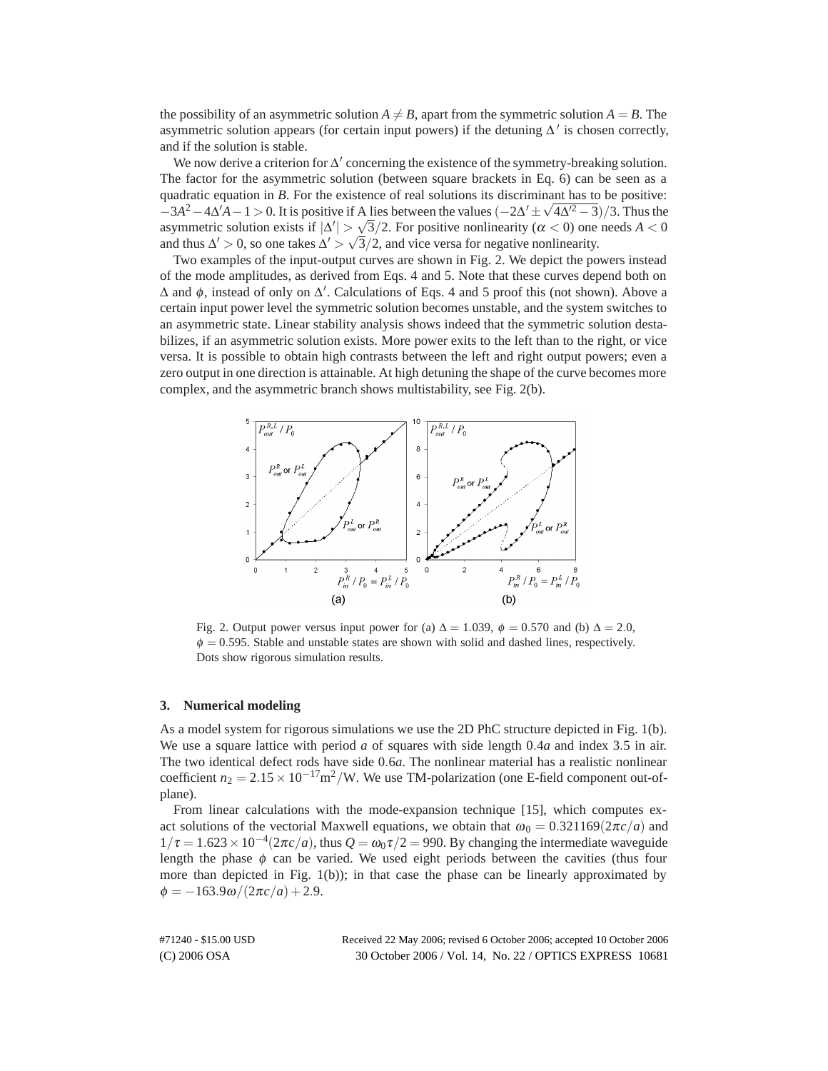the possibility of an asymmetric solution  $A \neq B$ , apart from the symmetric solution  $A = B$ . The asymmetric solution appears (for certain input powers) if the detuning  $\Delta'$  is chosen correctly, and if the solution is stable.

We now derive a criterion for  $\Delta'$  concerning the existence of the symmetry-breaking solution. The factor for the asymmetric solution (between square brackets in Eq. 6) can be seen as a quadratic equation in *B*. For the existence of real solutions its discriminant has to be positive:  $-3A^2-4\Delta'A-1 > 0$ . It is positive if A lies between the values  $(-2\Delta' \pm \sqrt{4\Delta'^2-3})/3$ . Thus the asymmetric solution exists if  $|\Delta'| > \sqrt{3}/2$ . For positive nonlinearity ( $\alpha < 0$ ) one needs  $A < 0$ and thus  $\Delta' > 0$ , so one takes  $\Delta' > \sqrt{3}/2$ , and vice versa for negative nonlinearity.

Two examples of the input-output curves are shown in Fig. 2. We depict the powers instead of the mode amplitudes, as derived from Eqs. 4 and 5. Note that these curves depend both on  $\Delta$  and  $\phi$ , instead of only on  $\Delta'$ . Calculations of Eqs. 4 and 5 proof this (not shown). Above a certain input power level the symmetric solution becomes unstable, and the system switches to an asymmetric state. Linear stability analysis shows indeed that the symmetric solution destabilizes, if an asymmetric solution exists. More power exits to the left than to the right, or vice versa. It is possible to obtain high contrasts between the left and right output powers; even a zero output in one direction is attainable. At high detuning the shape of the curve becomes more complex, and the asymmetric branch shows multistability, see Fig. 2(b).



Fig. 2. Output power versus input power for (a)  $\Delta = 1.039$ ,  $\phi = 0.570$  and (b)  $\Delta = 2.0$ ,  $\phi = 0.595$ . Stable and unstable states are shown with solid and dashed lines, respectively. Dots show rigorous simulation results.

### **3. Numerical modeling**

As a model system for rigorous simulations we use the 2D PhC structure depicted in Fig. 1(b). We use a square lattice with period *a* of squares with side length 0*.*4*a* and index 3*.*5 in air. The two identical defect rods have side 0*.*6*a*. The nonlinear material has a realistic nonlinear coefficient  $n_2 = 2.15 \times 10^{-17} \text{m}^2/\text{W}$ . We use TM-polarization (one E-field component out-ofplane).

From linear calculations with the mode-expansion technique [15], which computes exact solutions of the vectorial Maxwell equations, we obtain that  $\omega_0 = 0.321169(2\pi c/a)$  and  $1/\tau = 1.623 \times 10^{-4} (2\pi c/a)$ , thus  $Q = \omega_0 \tau/2 = 990$ . By changing the intermediate waveguide length the phase  $\phi$  can be varied. We used eight periods between the cavities (thus four more than depicted in Fig. 1(b)); in that case the phase can be linearly approximated by  $\phi = -163.9\omega/(2\pi c/a) + 2.9.$ 

#71240 - \$15.00 USD Received 22 May 2006; revised 6 October 2006; accepted 10 October 2006 (C) 2006 OSA 30 October 2006 / Vol. 14, No. 22 / OPTICS EXPRESS 10681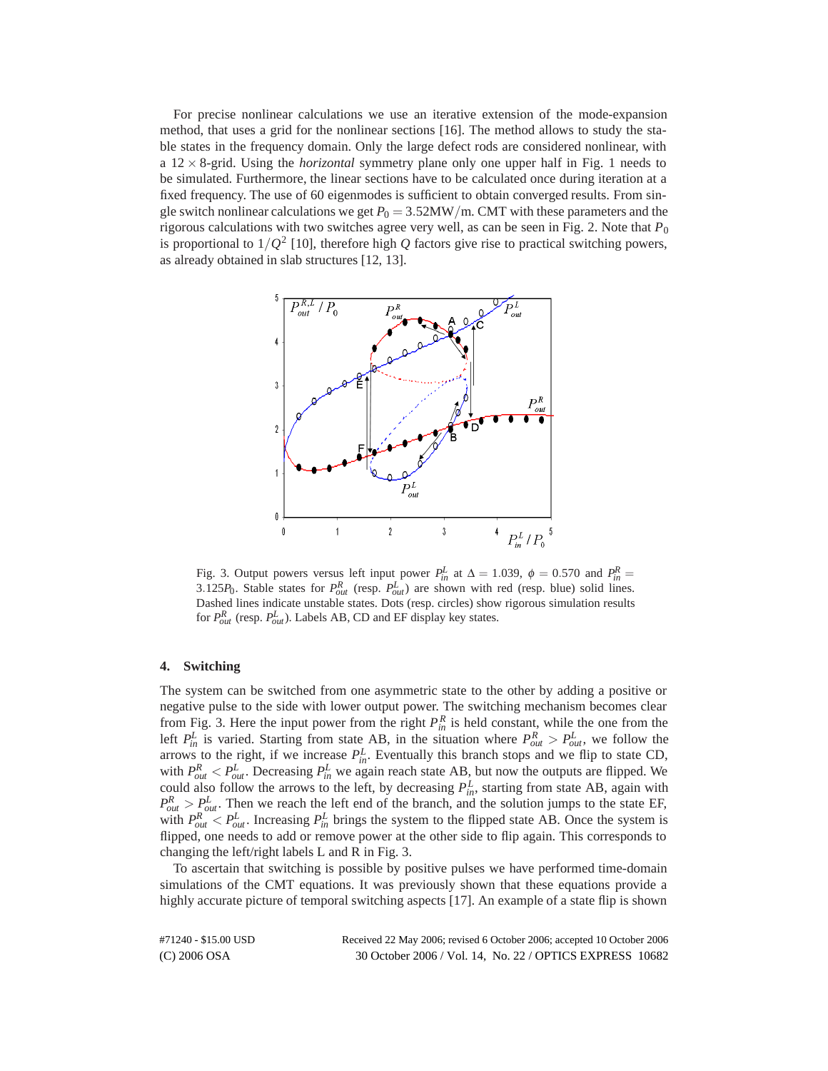For precise nonlinear calculations we use an iterative extension of the mode-expansion method, that uses a grid for the nonlinear sections [16]. The method allows to study the stable states in the frequency domain. Only the large defect rods are considered nonlinear, with a  $12 \times 8$ -grid. Using the *horizontal* symmetry plane only one upper half in Fig. 1 needs to be simulated. Furthermore, the linear sections have to be calculated once during iteration at a fixed frequency. The use of 60 eigenmodes is sufficient to obtain converged results. From single switch nonlinear calculations we get  $P_0 = 3.52$ MW/m. CMT with these parameters and the rigorous calculations with two switches agree very well, as can be seen in Fig. 2. Note that  $P_0$ is proportional to 1*/Q*<sup>2</sup> [10], therefore high *Q* factors give rise to practical switching powers, as already obtained in slab structures [12, 13].



Fig. 3. Output powers versus left input power  $P_{in}^L$  at  $\Delta = 1.039$ ,  $\phi = 0.570$  and  $P_{in}^R =$ 3.125 $P_0$ . Stable states for  $P_{out}^R$  (resp.  $P_{out}^L$ ) are shown with red (resp. blue) solid lines. Dashed lines indicate unstable states. Dots (resp. circles) show rigorous simulation results for  $P_{out}^R$  (resp.  $P_{out}^L$ ). Labels AB, CD and EF display key states.

## **4. Switching**

The system can be switched from one asymmetric state to the other by adding a positive or negative pulse to the side with lower output power. The switching mechanism becomes clear from Fig. 3. Here the input power from the right  $P_{in}^R$  is held constant, while the one from the left  $P_{in}^L$  is varied. Starting from state AB, in the situation where  $P_{out}^R > P_{out}^L$ , we follow the arrows to the right, if we increase  $P_{in}^L$ . Eventually this branch stops and we flip to state CD, with  $P_{out}^R < P_{out}^L$ . Decreasing  $P_{in}^L$  we again reach state AB, but now the outputs are flipped. We could also follow the arrows to the left, by decreasing  $P_{in}^L$ , starting from state AB, again with  $P_{out}^R > P_{out}^L$ . Then we reach the left end of the branch, and the solution jumps to the state EF, with  $P_{out}^R < P_{out}^L$ . Increasing  $P_{in}^L$  brings the system to the flipped state AB. Once the system is flipped, one needs to add or remove power at the other side to flip again. This corresponds to changing the left/right labels L and R in Fig. 3.

To ascertain that switching is possible by positive pulses we have performed time-domain simulations of the CMT equations. It was previously shown that these equations provide a highly accurate picture of temporal switching aspects [17]. An example of a state flip is shown

| #71240 - \$15.00 USD | Received 22 May 2006; revised 6 October 2006; accepted 10 October 2006 |  |
|----------------------|------------------------------------------------------------------------|--|
| $(C) 2006$ OSA       | 30 October 2006 / Vol. 14, No. 22 / OPTICS EXPRESS 10682               |  |